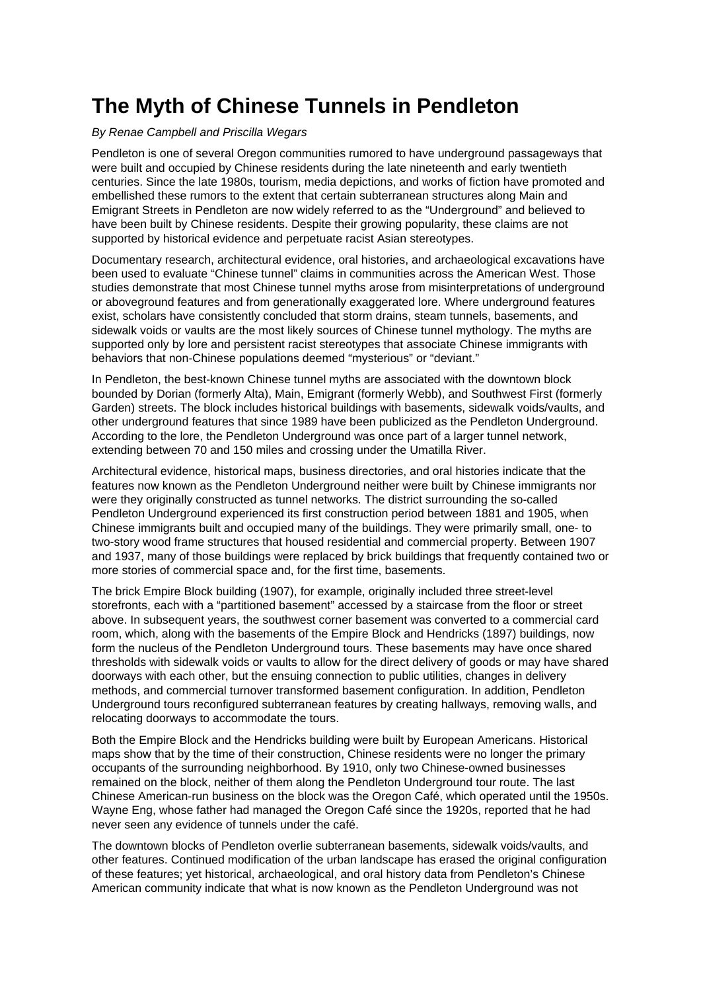## **The Myth of Chinese Tunnels in Pendleton**

## By Renae Campbell and Priscilla Wegars

Pendleton is one of several Oregon communities rumored to have underground passageways that were built and occupied by Chinese residents during the late nineteenth and early twentieth centuries. Since the late 1980s, tourism, media depictions, and works of fiction have promoted and embellished these rumors to the extent that certain subterranean structures along Main and Emigrant Streets in Pendleton are now widely referred to as the "Underground" and believed to have been built by Chinese residents. Despite their growing popularity, these claims are not supported by historical evidence and perpetuate racist Asian stereotypes.

Documentary research, architectural evidence, oral histories, and archaeological excavations have been used to evaluate "Chinese tunnel" claims in communities across the American West. Those studies demonstrate that most Chinese tunnel myths arose from misinterpretations of underground or aboveground features and from generationally exaggerated lore. Where underground features exist, scholars have consistently concluded that storm drains, steam tunnels, basements, and sidewalk voids or vaults are the most likely sources of Chinese tunnel mythology. The myths are supported only by lore and persistent racist stereotypes that associate Chinese immigrants with behaviors that non-Chinese populations deemed "mysterious" or "deviant."

In Pendleton, the best-known Chinese tunnel myths are associated with the downtown block bounded by Dorian (formerly Alta), Main, Emigrant (formerly Webb), and Southwest First (formerly Garden) streets. The block includes historical buildings with basements, sidewalk voids/vaults, and other underground features that since 1989 have been publicized as the Pendleton Underground. According to the lore, the Pendleton Underground was once part of a larger tunnel network, extending between 70 and 150 miles and crossing under the Umatilla River.

Architectural evidence, historical maps, business directories, and oral histories indicate that the features now known as the Pendleton Underground neither were built by Chinese immigrants nor were they originally constructed as tunnel networks. The district surrounding the so-called Pendleton Underground experienced its first construction period between 1881 and 1905, when Chinese immigrants built and occupied many of the buildings. They were primarily small, one- to two-story wood frame structures that housed residential and commercial property. Between 1907 and 1937, many of those buildings were replaced by brick buildings that frequently contained two or more stories of commercial space and, for the first time, basements.

The brick Empire Block building (1907), for example, originally included three street-level storefronts, each with a "partitioned basement" accessed by a staircase from the floor or street above. In subsequent years, the southwest corner basement was converted to a commercial card room, which, along with the basements of the Empire Block and Hendricks (1897) buildings, now form the nucleus of the Pendleton Underground tours. These basements may have once shared thresholds with sidewalk voids or vaults to allow for the direct delivery of goods or may have shared doorways with each other, but the ensuing connection to public utilities, changes in delivery methods, and commercial turnover transformed basement configuration. In addition, Pendleton Underground tours reconfigured subterranean features by creating hallways, removing walls, and relocating doorways to accommodate the tours.

Both the Empire Block and the Hendricks building were built by European Americans. Historical maps show that by the time of their construction, Chinese residents were no longer the primary occupants of the surrounding neighborhood. By 1910, only two Chinese-owned businesses remained on the block, neither of them along the Pendleton Underground tour route. The last Chinese American-run business on the block was the Oregon Café, which operated until the 1950s. Wayne Eng, whose father had managed the Oregon Café since the 1920s, reported that he had never seen any evidence of tunnels under the café.

The downtown blocks of Pendleton overlie subterranean basements, sidewalk voids/vaults, and other features. Continued modification of the urban landscape has erased the original configuration of these features; yet historical, archaeological, and oral history data from Pendleton's Chinese American community indicate that what is now known as the Pendleton Underground was not